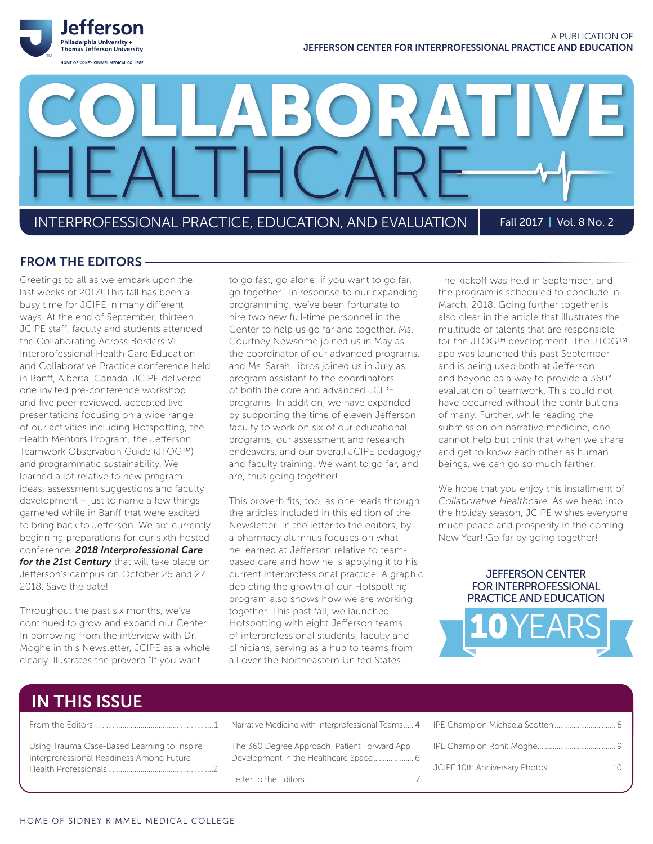

INTERPROFESSIONAL PRACTICE, EDUCATION, AND EVALUATION Fall 2017 | Vol. 8 No. 2

HEALTHCARE

### FROM THE EDITORS

Greetings to all as we embark upon the last weeks of 2017! This fall has been a busy time for JCIPE in many different ways. At the end of September, thirteen JCIPE staff, faculty and students attended the Collaborating Across Borders VI Interprofessional Health Care Education and Collaborative Practice conference held in Banff, Alberta, Canada. JCIPE delivered one invited pre-conference workshop and five peer-reviewed, accepted live presentations focusing on a wide range of our activities including Hotspotting, the Health Mentors Program, the Jefferson Teamwork Observation Guide (JTOG™) and programmatic sustainability. We learned a lot relative to new program ideas, assessment suggestions and faculty development – just to name a few things garnered while in Banff that were excited to bring back to Jefferson. We are currently beginning preparations for our sixth hosted conference, *2018 Interprofessional Care for the 21st Century* that will take place on Jefferson's campus on October 26 and 27, 2018. Save the date!

Throughout the past six months, we've continued to grow and expand our Center. In borrowing from the interview with Dr. Moghe in this Newsletter, JCIPE as a whole clearly illustrates the proverb "If you want

to go fast, go alone; if you want to go far, go together." In response to our expanding programming, we've been fortunate to hire two new full-time personnel in the Center to help us go far and together. Ms. Courtney Newsome joined us in May as the coordinator of our advanced programs, and Ms. Sarah Libros joined us in July as program assistant to the coordinators of both the core and advanced JCIPE programs. In addition, we have expanded by supporting the time of eleven Jefferson faculty to work on six of our educational programs, our assessment and research endeavors, and our overall JCIPE pedagogy and faculty training. We want to go far, and are, thus going together!

LABORATI

This proverb fits, too, as one reads through the articles included in this edition of the Newsletter. In the letter to the editors, by a pharmacy alumnus focuses on what he learned at Jefferson relative to teambased care and how he is applying it to his current interprofessional practice. A graphic depicting the growth of our Hotspotting program also shows how we are working together. This past fall, we launched Hotspotting with eight Jefferson teams of interprofessional students, faculty and clinicians, serving as a hub to teams from all over the Northeastern United States.

The kickoff was held in September, and the program is scheduled to conclude in March, 2018. Going further together is also clear in the article that illustrates the multitude of talents that are responsible for the JTOG™ development. The JTOG™ app was launched this past September and is being used both at Jefferson and beyond as a way to provide a 360° evaluation of teamwork. This could not have occurred without the contributions of many. Further, while reading the submission on narrative medicine, one cannot help but think that when we share and get to know each other as human beings, we can go so much farther.

We hope that you enjoy this installment of *Collaborative Healthcare*. As we head into the holiday season, JCIPE wishes everyone much peace and prosperity in the coming New Year! Go far by going together!





# IN THIS ISSUE

|                                                                                         | Narrative Medicine with Interprofessional Teams4 |
|-----------------------------------------------------------------------------------------|--------------------------------------------------|
| Using Trauma Case-Based Learning to Inspire<br>Interprofessional Readiness Among Future | The 360 Degree Approach: Patient Forward App     |
|                                                                                         |                                                  |

Letter to the Editors..........................................................7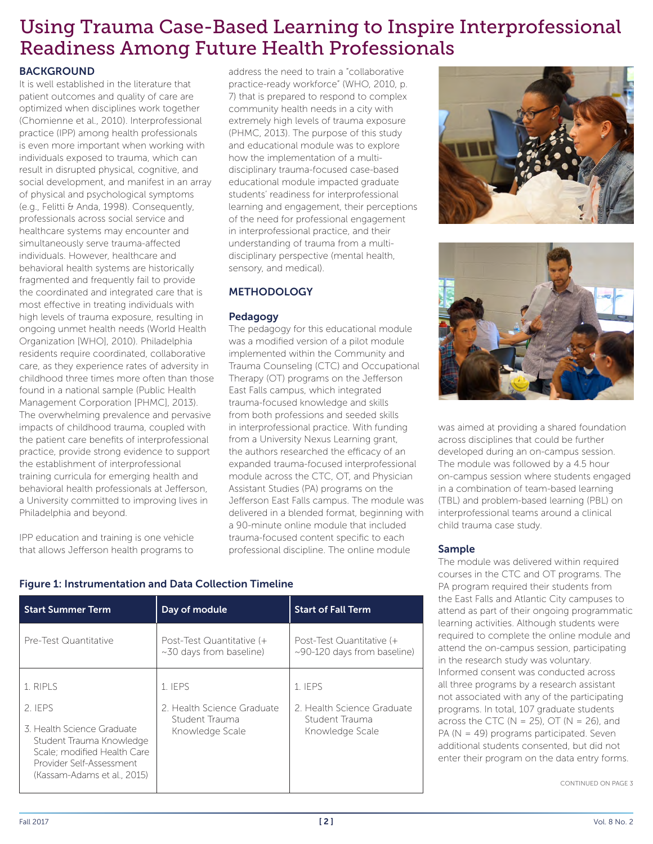# Using Trauma Case-Based Learning to Inspire Interprofessional Readiness Among Future Health Professionals

### **BACKGROUND**

It is well established in the literature that patient outcomes and quality of care are optimized when disciplines work together (Chomienne et al., 2010). Interprofessional practice (IPP) among health professionals is even more important when working with individuals exposed to trauma, which can result in disrupted physical, cognitive, and social development, and manifest in an array of physical and psychological symptoms (e.g., Felitti & Anda, 1998). Consequently, professionals across social service and healthcare systems may encounter and simultaneously serve trauma-affected individuals. However, healthcare and behavioral health systems are historically fragmented and frequently fail to provide the coordinated and integrated care that is most effective in treating individuals with high levels of trauma exposure, resulting in ongoing unmet health needs (World Health Organization [WHO], 2010). Philadelphia residents require coordinated, collaborative care, as they experience rates of adversity in childhood three times more often than those found in a national sample (Public Health Management Corporation [PHMC], 2013). The overwhelming prevalence and pervasive impacts of childhood trauma, coupled with the patient care benefits of interprofessional practice, provide strong evidence to support the establishment of interprofessional training curricula for emerging health and behavioral health professionals at Jefferson, a University committed to improving lives in Philadelphia and beyond.

IPP education and training is one vehicle that allows Jefferson health programs to address the need to train a "collaborative practice-ready workforce" (WHO, 2010, p. 7) that is prepared to respond to complex community health needs in a city with extremely high levels of trauma exposure (PHMC, 2013). The purpose of this study and educational module was to explore how the implementation of a multidisciplinary trauma-focused case-based educational module impacted graduate students' readiness for interprofessional learning and engagement, their perceptions of the need for professional engagement in interprofessional practice, and their understanding of trauma from a multidisciplinary perspective (mental health, sensory, and medical).

### METHODOLOGY

### Pedagogy

The pedagogy for this educational module was a modified version of a pilot module implemented within the Community and Trauma Counseling (CTC) and Occupational Therapy (OT) programs on the Jefferson East Falls campus, which integrated trauma-focused knowledge and skills from both professions and seeded skills in interprofessional practice. With funding from a University Nexus Learning grant, the authors researched the efficacy of an expanded trauma-focused interprofessional module across the CTC, OT, and Physician Assistant Studies (PA) programs on the Jefferson East Falls campus. The module was delivered in a blended format, beginning with a 90-minute online module that included trauma-focused content specific to each professional discipline. The online module





was aimed at providing a shared foundation across disciplines that could be further developed during an on-campus session. The module was followed by a 4.5 hour on-campus session where students engaged in a combination of team-based learning (TBL) and problem-based learning (PBL) on interprofessional teams around a clinical child trauma case study.

### Sample

The module was delivered within required courses in the CTC and OT programs. The PA program required their students from the East Falls and Atlantic City campuses to attend as part of their ongoing programmatic learning activities. Although students were required to complete the online module and attend the on-campus session, participating in the research study was voluntary. Informed consent was conducted across all three programs by a research assistant not associated with any of the participating programs. In total, 107 graduate students across the CTC ( $N = 25$ ), OT ( $N = 26$ ), and PA (N = 49) programs participated. Seven additional students consented, but did not enter their program on the data entry forms.

CONTINUED ON PAGE 3

| <b>Start Summer Term</b>                                                                                                                                                | Day of module                                                              | <b>Start of Fall Term</b>                                                  |
|-------------------------------------------------------------------------------------------------------------------------------------------------------------------------|----------------------------------------------------------------------------|----------------------------------------------------------------------------|
| Pre-Test Quantitative                                                                                                                                                   | Post-Test Quantitative (+<br>$\sim$ 30 days from baseline)                 | Post-Test Quantitative (+<br>$\sim$ 90-120 days from baseline)             |
| 1. RIPLS<br>2. IFPS<br>3. Health Science Graduate<br>Student Trauma Knowledge<br>Scale: modified Health Care<br>Provider Self-Assessment<br>(Kassam-Adams et al., 2015) | 1. IFPS<br>2. Health Science Graduate<br>Student Trauma<br>Knowledge Scale | 1. IFPS<br>2. Health Science Graduate<br>Student Trauma<br>Knowledge Scale |

### Figure 1: Instrumentation and Data Collection Timeline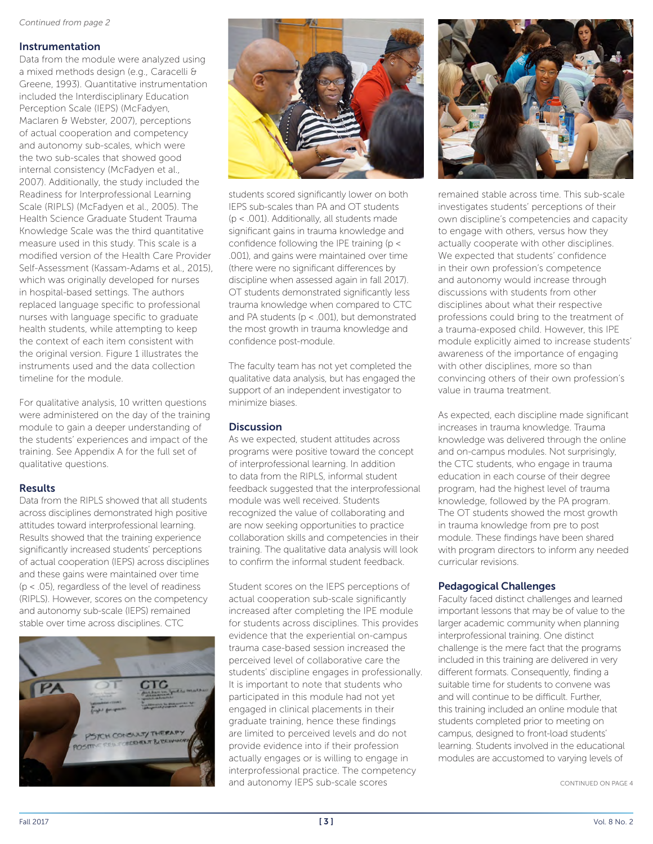### Instrumentation

Data from the module were analyzed using a mixed methods design (e.g., Caracelli & Greene, 1993). Quantitative instrumentation included the Interdisciplinary Education Perception Scale (IEPS) (McFadyen, Maclaren & Webster, 2007), perceptions of actual cooperation and competency and autonomy sub-scales, which were the two sub-scales that showed good internal consistency (McFadyen et al., 2007). Additionally, the study included the Readiness for Interprofessional Learning Scale (RIPLS) (McFadyen et al., 2005). The Health Science Graduate Student Trauma Knowledge Scale was the third quantitative measure used in this study. This scale is a modified version of the Health Care Provider Self-Assessment (Kassam-Adams et al., 2015), which was originally developed for nurses in hospital-based settings. The authors replaced language specific to professional nurses with language specific to graduate health students, while attempting to keep the context of each item consistent with the original version. Figure 1 illustrates the instruments used and the data collection timeline for the module.

For qualitative analysis, 10 written questions were administered on the day of the training module to gain a deeper understanding of the students' experiences and impact of the training. See Appendix A for the full set of qualitative questions.

### Results

Data from the RIPLS showed that all students across disciplines demonstrated high positive attitudes toward interprofessional learning. Results showed that the training experience significantly increased students' perceptions of actual cooperation (IEPS) across disciplines and these gains were maintained over time (p < .05), regardless of the level of readiness (RIPLS). However, scores on the competency and autonomy sub-scale (IEPS) remained stable over time across disciplines. CTC





students scored significantly lower on both IEPS sub-scales than PA and OT students (p < .001). Additionally, all students made significant gains in trauma knowledge and confidence following the IPE training (p < .001), and gains were maintained over time (there were no significant differences by discipline when assessed again in fall 2017). OT students demonstrated significantly less trauma knowledge when compared to CTC and PA students ( $p < .001$ ), but demonstrated the most growth in trauma knowledge and confidence post-module.

The faculty team has not yet completed the qualitative data analysis, but has engaged the support of an independent investigator to minimize biases.

### **Discussion**

As we expected, student attitudes across programs were positive toward the concept of interprofessional learning. In addition to data from the RIPLS, informal student feedback suggested that the interprofessional module was well received. Students recognized the value of collaborating and are now seeking opportunities to practice collaboration skills and competencies in their training. The qualitative data analysis will look to confirm the informal student feedback.

Student scores on the IEPS perceptions of actual cooperation sub-scale significantly increased after completing the IPE module for students across disciplines. This provides evidence that the experiential on-campus trauma case-based session increased the perceived level of collaborative care the students' discipline engages in professionally. It is important to note that students who participated in this module had not yet engaged in clinical placements in their graduate training, hence these findings are limited to perceived levels and do not provide evidence into if their profession actually engages or is willing to engage in interprofessional practice. The competency and autonomy IEPS sub-scale scores



remained stable across time. This sub-scale investigates students' perceptions of their own discipline's competencies and capacity to engage with others, versus how they actually cooperate with other disciplines. We expected that students' confidence in their own profession's competence and autonomy would increase through discussions with students from other disciplines about what their respective professions could bring to the treatment of a trauma-exposed child. However, this IPE module explicitly aimed to increase students' awareness of the importance of engaging with other disciplines, more so than convincing others of their own profession's value in trauma treatment.

As expected, each discipline made significant increases in trauma knowledge. Trauma knowledge was delivered through the online and on-campus modules. Not surprisingly, the CTC students, who engage in trauma education in each course of their degree program, had the highest level of trauma knowledge, followed by the PA program. The OT students showed the most growth in trauma knowledge from pre to post module. These findings have been shared with program directors to inform any needed curricular revisions.

### Pedagogical Challenges

Faculty faced distinct challenges and learned important lessons that may be of value to the larger academic community when planning interprofessional training. One distinct challenge is the mere fact that the programs included in this training are delivered in very different formats. Consequently, finding a suitable time for students to convene was and will continue to be difficult. Further, this training included an online module that students completed prior to meeting on campus, designed to front-load students' learning. Students involved in the educational modules are accustomed to varying levels of

CONTINUED ON PAGE 4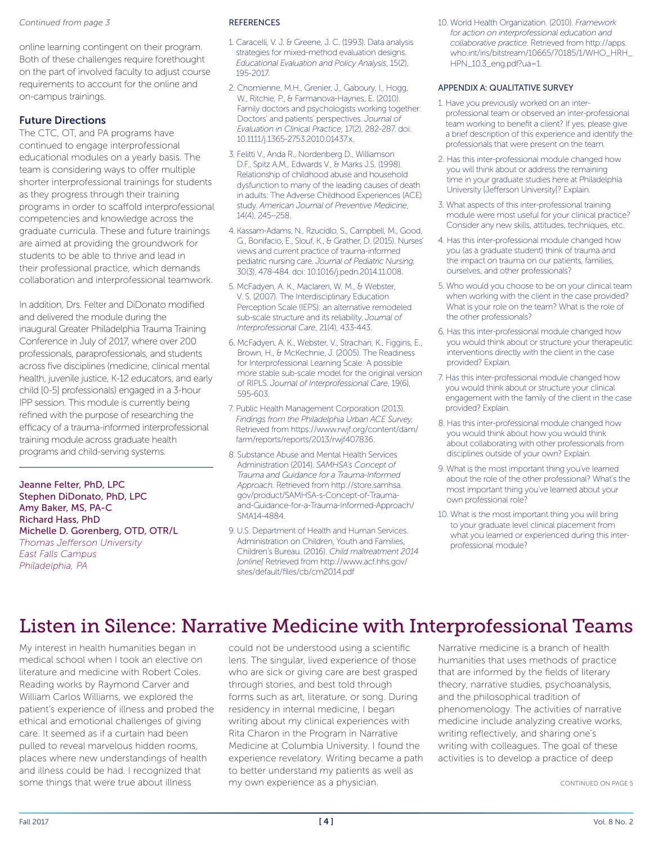#### *Continued from page 3*

online learning contingent on their program. Both of these challenges require forethought on the part of involved faculty to adjust course requirements to account for the online and on-campus trainings.

### Future Directions

The CTC, OT, and PA programs have continued to engage interprofessional educational modules on a yearly basis. The team is considering ways to offer multiple shorter interprofessional trainings for students as they progress through their training programs in order to scaffold interprofessional competencies and knowledge across the graduate curricula. These and future trainings are aimed at providing the groundwork for students to be able to thrive and lead in their professional practice, which demands collaboration and interprofessional teamwork.

In addition, Drs. Felter and DiDonato modified and delivered the module during the inaugural Greater Philadelphia Trauma Training Conference in July of 2017, where over 200 professionals, paraprofessionals, and students across five disciplines (medicine, clinical mental health, juvenile justice, K-12 educators, and early child [0-5] professionals) engaged in a 3-hour IPP session. This module is currently being refined with the purpose of researching the efficacy of a trauma-informed interprofessional training module across graduate health programs and child-serving systems.

Jeanne Felter, PhD, LPC Stephen DiDonato, PhD, LPC Amy Baker, MS, PA-C Richard Hass, PhD Michelle D. Gorenberg, OTD, OTR/L

*Thomas Jefferson University East Falls Campus Philadelphia, PA*

### **REFERENCES**

- 1. Caracelli, V. J. & Greene, J. C. (1993). Data analysis strategies for mixed-method evaluation designs. *Educational Evaluation and Policy Analysis*, 15(2), 195-2017.
- 2. Chomienne, M.H., Grenier, J., Gaboury, I., Hogg, W., Ritchie, P., & Farmanova-Haynes, E. (2010). Family doctors and psychologists working together: Doctors' and patients' perspectives. *Journal of Evaluation in Clinical Practice*, 17(2), 282-287. doi: 10.1111/j.1365-2753.2010.01437.x.
- 3. Felitti V., Anda R., Nordenberg D., Williamson D.F., Spitz A.M., Edwards V., & Marks J.S. (1998). Relationship of childhood abuse and household dysfunction to many of the leading causes of death in adults: The Adverse Childhood Experiences (ACE) study. *American Journal of Preventive Medicine*, 14(4), 245–258.
- 4. Kassam-Adams, N., Rzucidlo, S., Campbell, M., Good, G., Bonifacio, E., Slouf, K., & Grather, D. (2015). Nurses' views and current practice of trauma-informed pediatric nursing care. *Journal of Pediatric Nursing*, 30(3), 478-484. doi: 10.1016/j.pedn.2014.11.008.
- 5. McFadyen, A. K., Maclaren, W. M., & Webster, V. S. (2007). The Interdisciplinary Education Perception Scale (IEPS): an alternative remodeled sub-scale structure and its reliability. *Journal of Interprofessional Care*, 21(4), 433-443.
- 6. McFadyen, A. K., Webster, V., Strachan, K., Figgins, E., Brown, H., & McKechnie, J. (2005). The Readiness for Interprofessional Learning Scale: A possible more stable sub-scale model for the original version of RIPLS. *Journal of Interprofessional Care*, 19(6), 595-603.
- 7. Public Health Management Corporation (2013). *Findings from the Philadelphia Urban ACE Survey.* Retrieved from https://www.rwjf.org/content/dam/ farm/reports/reports/2013/rwjf407836.
- 8. Substance Abuse and Mental Health Services Administration (2014). *SAMHSA's Concept of Trauma and Guidance for a Trauma-Informed Approach.* Retrieved from http://store.samhsa. gov/product/SAMHSA-s-Concept-of-Traumaand-Guidance-for-a-Trauma-Informed-Approach/ SMA14-4884.
- 9. U.S. Department of Health and Human Services. Administration on Children, Youth and Families, Children's Bureau. (2016). *Child maltreatment 2014 [online]* Retrieved from http://www.acf.hhs.gov/ sites/default/files/cb/cm2014.pdf

10. World Health Organization. (2010). *Framework for action on interprofessional education and collaborative practice.* Retrieved from http://apps. who.int/iris/bitstream/10665/70185/1/WHO\_HRH\_ HPN\_10.3\_eng.pdf?ua=1.

### APPENDIX A: QUALITATIVE SURVEY

- 1. Have you previously worked on an interprofessional team or observed an inter-professional team working to benefit a client? If yes, please give a brief description of this experience and identify the professionals that were present on the team.
- 2. Has this inter-professional module changed how you will think about or address the remaining time in your graduate studies here at Philadelphia University [Jefferson University]? Explain.
- 3. What aspects of this inter-professional training module were most useful for your clinical practice? Consider any new skills, attitudes, techniques, etc.
- 4. Has this inter-professional module changed how you (as a graduate student) think of trauma and the impact on trauma on our patients, families, ourselves, and other professionals?
- 5. Who would you choose to be on your clinical team when working with the client in the case provided? What is your role on the team? What is the role of the other professionals?
- 6. Has this inter-professional module changed how you would think about or structure your therapeutic interventions directly with the client in the case provided? Explain.
- 7. Has this inter-professional module changed how you would think about or structure your clinical engagement with the family of the client in the case provided? Explain.
- 8. Has this inter-professional module changed how you would think about how you would think about collaborating with other professionals from disciplines outside of your own? Explain.
- 9. What is the most important thing you've learned about the role of the other professional? What's the most important thing you've learned about your own professional role?
- 10. What is the most important thing you will bring to your graduate level clinical placement from what you learned or experienced during this interprofessional module?

# Listen in Silence: Narrative Medicine with Interprofessional Teams

My interest in health humanities began in medical school when I took an elective on literature and medicine with Robert Coles. Reading works by Raymond Carver and William Carlos Williams, we explored the patient's experience of illness and probed the ethical and emotional challenges of giving care. It seemed as if a curtain had been pulled to reveal marvelous hidden rooms, places where new understandings of health and illness could be had. I recognized that some things that were true about illness

could not be understood using a scientific lens. The singular, lived experience of those who are sick or giving care are best grasped through stories, and best told through forms such as art, literature, or song. During residency in internal medicine, I began writing about my clinical experiences with Rita Charon in the Program in Narrative Medicine at Columbia University. I found the experience revelatory. Writing became a path to better understand my patients as well as my own experience as a physician.

Narrative medicine is a branch of health humanities that uses methods of practice that are informed by the fields of literary theory, narrative studies, psychoanalysis, and the philosophical tradition of phenomenology. The activities of narrative medicine include analyzing creative works, writing reflectively, and sharing one's writing with colleagues. The goal of these activities is to develop a practice of deep

CONTINUED ON PAGE 5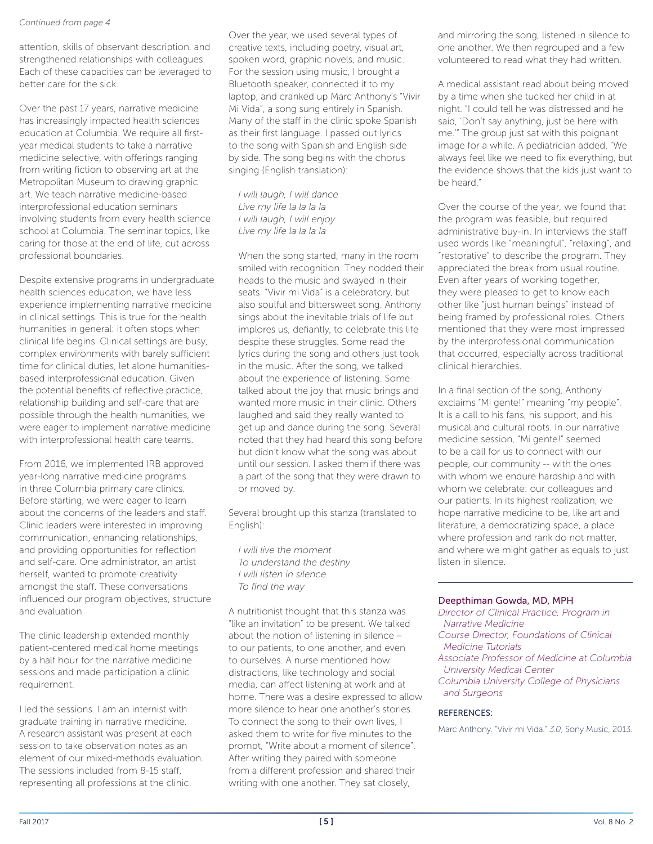#### *Continued from page 4*

attention, skills of observant description, and strengthened relationships with colleagues. Each of these capacities can be leveraged to better care for the sick.

Over the past 17 years, narrative medicine has increasingly impacted health sciences education at Columbia. We require all firstyear medical students to take a narrative medicine selective, with offerings ranging from writing fiction to observing art at the Metropolitan Museum to drawing graphic art. We teach narrative medicine-based interprofessional education seminars involving students from every health science school at Columbia. The seminar topics, like caring for those at the end of life, cut across professional boundaries.

Despite extensive programs in undergraduate health sciences education, we have less experience implementing narrative medicine in clinical settings. This is true for the health humanities in general: it often stops when clinical life begins. Clinical settings are busy, complex environments with barely sufficient time for clinical duties, let alone humanitiesbased interprofessional education. Given the potential benefits of reflective practice, relationship building and self-care that are possible through the health humanities, we were eager to implement narrative medicine with interprofessional health care teams.

From 2016, we implemented IRB approved year-long narrative medicine programs in three Columbia primary care clinics. Before starting, we were eager to learn about the concerns of the leaders and staff. Clinic leaders were interested in improving communication, enhancing relationships, and providing opportunities for reflection and self-care. One administrator, an artist herself, wanted to promote creativity amongst the staff. These conversations influenced our program objectives, structure and evaluation.

The clinic leadership extended monthly patient-centered medical home meetings by a half hour for the narrative medicine sessions and made participation a clinic requirement.

I led the sessions. I am an internist with graduate training in narrative medicine. A research assistant was present at each session to take observation notes as an element of our mixed-methods evaluation. The sessions included from 8-15 staff, representing all professions at the clinic.

Over the year, we used several types of creative texts, including poetry, visual art, spoken word, graphic novels, and music. For the session using music, I brought a Bluetooth speaker, connected it to my laptop, and cranked up Marc Anthony's "Vivir Mi Vida", a song sung entirely in Spanish. Many of the staff in the clinic spoke Spanish as their first language. I passed out lyrics to the song with Spanish and English side by side. The song begins with the chorus singing (English translation):

*I will laugh, I will dance Live my life la la la la I will laugh, I will enjoy Live my life la la la la*

When the song started, many in the room smiled with recognition. They nodded their heads to the music and swayed in their seats. "Vivir mi Vida" is a celebratory, but also soulful and bittersweet song. Anthony sings about the inevitable trials of life but implores us, defiantly, to celebrate this life despite these struggles. Some read the lyrics during the song and others just took in the music. After the song, we talked about the experience of listening. Some talked about the joy that music brings and wanted more music in their clinic. Others laughed and said they really wanted to get up and dance during the song. Several noted that they had heard this song before but didn't know what the song was about until our session. I asked them if there was a part of the song that they were drawn to or moved by.

Several brought up this stanza (translated to English):

*I will live the moment To understand the destiny I will listen in silence To find the way*

A nutritionist thought that this stanza was "like an invitation" to be present. We talked about the notion of listening in silence – to our patients, to one another, and even to ourselves. A nurse mentioned how distractions, like technology and social media, can affect listening at work and at home. There was a desire expressed to allow more silence to hear one another's stories. To connect the song to their own lives, I asked them to write for five minutes to the prompt, "Write about a moment of silence". After writing they paired with someone from a different profession and shared their writing with one another. They sat closely,

and mirroring the song, listened in silence to one another. We then regrouped and a few volunteered to read what they had written.

A medical assistant read about being moved by a time when she tucked her child in at night. "I could tell he was distressed and he said, 'Don't say anything, just be here with me.'" The group just sat with this poignant image for a while. A pediatrician added, "We always feel like we need to fix everything, but the evidence shows that the kids just want to be heard."

Over the course of the year, we found that the program was feasible, but required administrative buy-in. In interviews the staff used words like "meaningful", "relaxing", and "restorative" to describe the program. They appreciated the break from usual routine. Even after years of working together, they were pleased to get to know each other like "just human beings" instead of being framed by professional roles. Others mentioned that they were most impressed by the interprofessional communication that occurred, especially across traditional clinical hierarchies.

In a final section of the song, Anthony exclaims "Mi gente!" meaning "my people". It is a call to his fans, his support, and his musical and cultural roots. In our narrative medicine session, "Mi gente!" seemed to be a call for us to connect with our people, our community -- with the ones with whom we endure hardship and with whom we celebrate: our colleagues and our patients. In its highest realization, we hope narrative medicine to be, like art and literature, a democratizing space, a place where profession and rank do not matter, and where we might gather as equals to just listen in silence.

### Deepthiman Gowda, MD, MPH

*Director of Clinical Practice, Program in Narrative Medicine Course Director, Foundations of Clinical Medicine Tutorials Associate Professor of Medicine at Columbia University Medical Center Columbia University College of Physicians and Surgeons*

### REFERENCES:

Marc Anthony. "Vivir mi Vida." *3.0*, Sony Music, 2013.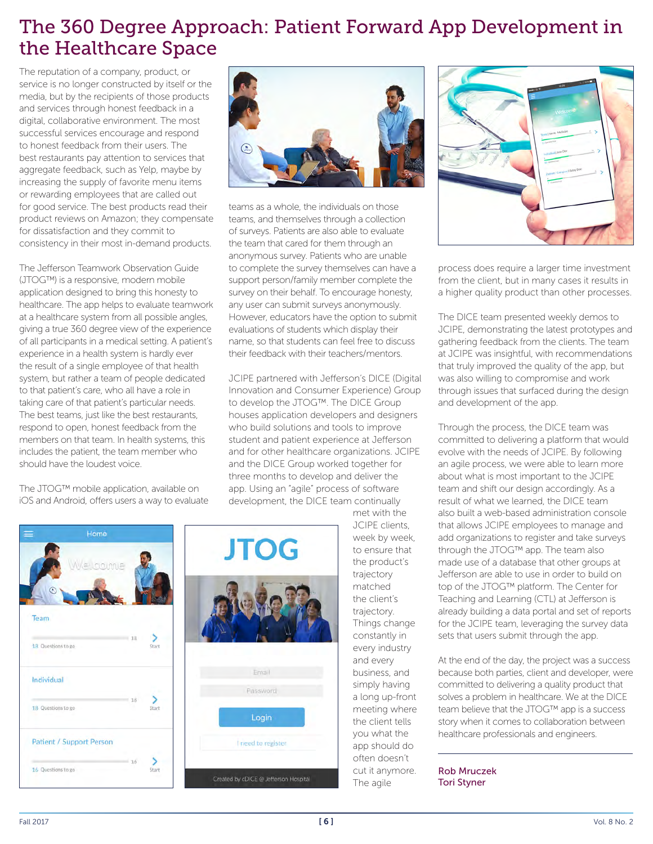# The 360 Degree Approach: Patient Forward App Development in the Healthcare Space

The reputation of a company, product, or service is no longer constructed by itself or the media, but by the recipients of those products and services through honest feedback in a digital, collaborative environment. The most successful services encourage and respond to honest feedback from their users. The best restaurants pay attention to services that aggregate feedback, such as Yelp, maybe by increasing the supply of favorite menu items or rewarding employees that are called out for good service. The best products read their product reviews on Amazon; they compensate for dissatisfaction and they commit to consistency in their most in-demand products.

The Jefferson Teamwork Observation Guide (JTOG™) is a responsive, modern mobile application designed to bring this honesty to healthcare. The app helps to evaluate teamwork at a healthcare system from all possible angles, giving a true 360 degree view of the experience of all participants in a medical setting. A patient's experience in a health system is hardly ever the result of a single employee of that health system, but rather a team of people dedicated to that patient's care, who all have a role in taking care of that patient's particular needs. The best teams, just like the best restaurants, respond to open, honest feedback from the members on that team. In health systems, this includes the patient, the team member who should have the loudest voice.

The JTOG™ mobile application, available on iOS and Android, offers users a way to evaluate



teams as a whole, the individuals on those teams, and themselves through a collection of surveys. Patients are also able to evaluate the team that cared for them through an anonymous survey. Patients who are unable to complete the survey themselves can have a support person/family member complete the survey on their behalf. To encourage honesty, any user can submit surveys anonymously. However, educators have the option to submit evaluations of students which display their name, so that students can feel free to discuss their feedback with their teachers/mentors.

JCIPE partnered with Jefferson's DICE (Digital Innovation and Consumer Experience) Group to develop the JTOG™. The DICE Group houses application developers and designers who build solutions and tools to improve student and patient experience at Jefferson and for other healthcare organizations. JCIPE and the DICE Group worked together for three months to develop and deliver the app. Using an "agile" process of software development, the DICE team continually



met with the JCIPE clients, week by week, to ensure that the product's trajectory matched the client's trajectory. Things change constantly in every industry and every business, and simply having a long up-front meeting where the client tells you what the app should do often doesn't cut it anymore. The agile



process does require a larger time investment from the client, but in many cases it results in a higher quality product than other processes.

The DICE team presented weekly demos to JCIPE, demonstrating the latest prototypes and gathering feedback from the clients. The team at JCIPE was insightful, with recommendations that truly improved the quality of the app, but was also willing to compromise and work through issues that surfaced during the design and development of the app.

Through the process, the DICE team was committed to delivering a platform that would evolve with the needs of JCIPE. By following an agile process, we were able to learn more about what is most important to the JCIPE team and shift our design accordingly. As a result of what we learned, the DICE team also built a web-based administration console that allows JCIPE employees to manage and add organizations to register and take surveys through the JTOG™ app. The team also made use of a database that other groups at Jefferson are able to use in order to build on top of the JTOG™ platform. The Center for Teaching and Learning (CTL) at Jefferson is already building a data portal and set of reports for the JCIPE team, leveraging the survey data sets that users submit through the app.

At the end of the day, the project was a success because both parties, client and developer, were committed to delivering a quality product that solves a problem in healthcare. We at the DICE team believe that the JTOG™ app is a success story when it comes to collaboration between healthcare professionals and engineers.

### Rob Mruczek Tori Styner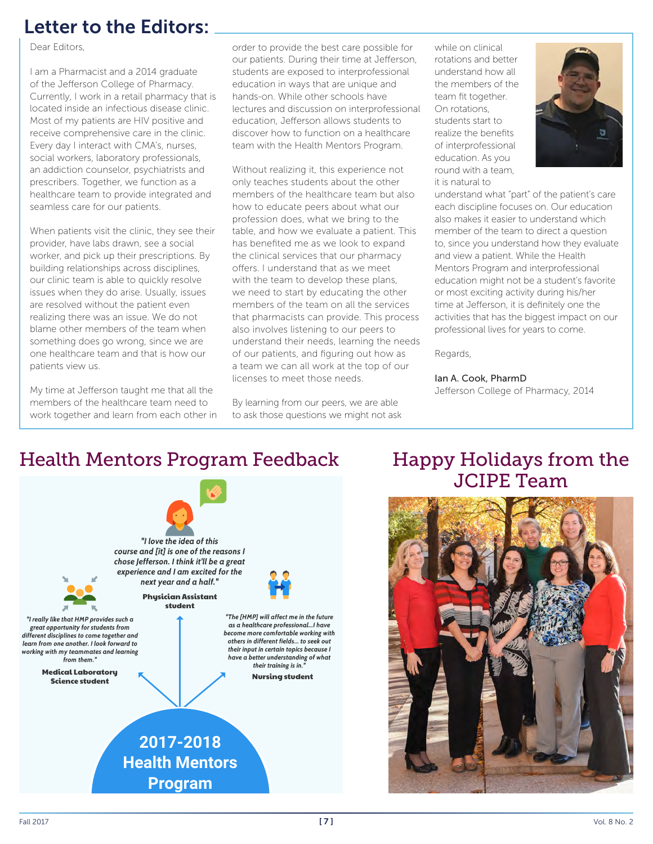# Letter to the Editors:

Dear Editors,

I am a Pharmacist and a 2014 graduate of the Jefferson College of Pharmacy. Currently, I work in a retail pharmacy that is located inside an infectious disease clinic. Most of my patients are HIV positive and receive comprehensive care in the clinic. Every day I interact with CMA's, nurses, social workers, laboratory professionals, an addiction counselor, psychiatrists and prescribers. Together, we function as a healthcare team to provide integrated and seamless care for our patients.

When patients visit the clinic, they see their provider, have labs drawn, see a social worker, and pick up their prescriptions. By building relationships across disciplines, our clinic team is able to quickly resolve issues when they do arise. Usually, issues are resolved without the patient even realizing there was an issue. We do not blame other members of the team when something does go wrong, since we are one healthcare team and that is how our patients view us.

My time at Jefferson taught me that all the members of the healthcare team need to work together and learn from each other in order to provide the best care possible for our patients. During their time at Jefferson, students are exposed to interprofessional education in ways that are unique and hands-on. While other schools have lectures and discussion on interprofessional education, Jefferson allows students to discover how to function on a healthcare team with the Health Mentors Program.

Without realizing it, this experience not only teaches students about the other members of the healthcare team but also how to educate peers about what our profession does, what we bring to the table, and how we evaluate a patient. This has benefited me as we look to expand the clinical services that our pharmacy offers. I understand that as we meet with the team to develop these plans, we need to start by educating the other members of the team on all the services that pharmacists can provide. This process also involves listening to our peers to understand their needs, learning the needs of our patients, and figuring out how as a team we can all work at the top of our licenses to meet those needs.

By learning from our peers, we are able to ask those questions we might not ask while on clinical rotations and better understand how all the members of the team fit together. On rotations, students start to realize the benefits of interprofessional education. As you round with a team, it is natural to



understand what "part" of the patient's care each discipline focuses on. Our education also makes it easier to understand which member of the team to direct a question to, since you understand how they evaluate and view a patient. While the Health Mentors Program and interprofessional education might not be a student's favorite or most exciting activity during his/her time at Jefferson, it is definitely one the activities that has the biggest impact on our professional lives for years to come.

Regards,

### Ian A. Cook, PharmD

Jefferson College of Pharmacy, 2014

# Health Mentors Program Feedback Happy Holidays from the



# JCIPE Team

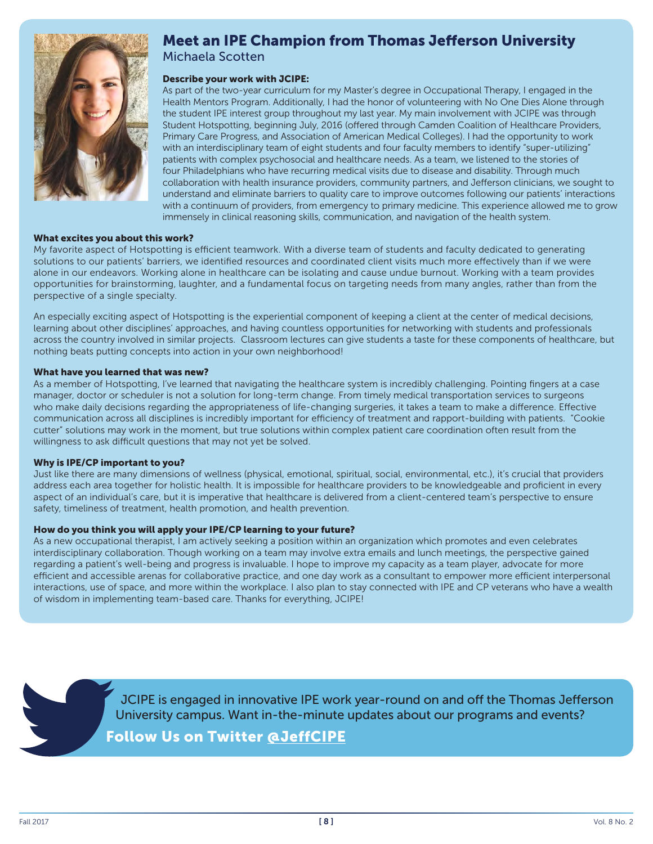

### Meet an IPE Champion from Thomas Jefferson University Michaela Scotten

### Describe your work with JCIPE:

As part of the two-year curriculum for my Master's degree in Occupational Therapy, I engaged in the Health Mentors Program. Additionally, I had the honor of volunteering with No One Dies Alone through the student IPE interest group throughout my last year. My main involvement with JCIPE was through Student Hotspotting, beginning July, 2016 (offered through Camden Coalition of Healthcare Providers, Primary Care Progress, and Association of American Medical Colleges). I had the opportunity to work with an interdisciplinary team of eight students and four faculty members to identify "super-utilizing" patients with complex psychosocial and healthcare needs. As a team, we listened to the stories of four Philadelphians who have recurring medical visits due to disease and disability. Through much collaboration with health insurance providers, community partners, and Jefferson clinicians, we sought to understand and eliminate barriers to quality care to improve outcomes following our patients' interactions with a continuum of providers, from emergency to primary medicine. This experience allowed me to grow immensely in clinical reasoning skills, communication, and navigation of the health system.

#### What excites you about this work?

My favorite aspect of Hotspotting is efficient teamwork. With a diverse team of students and faculty dedicated to generating solutions to our patients' barriers, we identified resources and coordinated client visits much more effectively than if we were alone in our endeavors. Working alone in healthcare can be isolating and cause undue burnout. Working with a team provides opportunities for brainstorming, laughter, and a fundamental focus on targeting needs from many angles, rather than from the perspective of a single specialty.

An especially exciting aspect of Hotspotting is the experiential component of keeping a client at the center of medical decisions, learning about other disciplines' approaches, and having countless opportunities for networking with students and professionals across the country involved in similar projects. Classroom lectures can give students a taste for these components of healthcare, but nothing beats putting concepts into action in your own neighborhood!

#### What have you learned that was new?

As a member of Hotspotting, I've learned that navigating the healthcare system is incredibly challenging. Pointing fingers at a case manager, doctor or scheduler is not a solution for long-term change. From timely medical transportation services to surgeons who make daily decisions regarding the appropriateness of life-changing surgeries, it takes a team to make a difference. Effective communication across all disciplines is incredibly important for efficiency of treatment and rapport-building with patients. "Cookie cutter" solutions may work in the moment, but true solutions within complex patient care coordination often result from the willingness to ask difficult questions that may not yet be solved.

#### Why is IPE/CP important to you?

Just like there are many dimensions of wellness (physical, emotional, spiritual, social, environmental, etc.), it's crucial that providers address each area together for holistic health. It is impossible for healthcare providers to be knowledgeable and proficient in every aspect of an individual's care, but it is imperative that healthcare is delivered from a client-centered team's perspective to ensure safety, timeliness of treatment, health promotion, and health prevention.

### How do you think you will apply your IPE/CP learning to your future?

As a new occupational therapist, I am actively seeking a position within an organization which promotes and even celebrates interdisciplinary collaboration. Though working on a team may involve extra emails and lunch meetings, the perspective gained regarding a patient's well-being and progress is invaluable. I hope to improve my capacity as a team player, advocate for more efficient and accessible arenas for collaborative practice, and one day work as a consultant to empower more efficient interpersonal interactions, use of space, and more within the workplace. I also plan to stay connected with IPE and CP veterans who have a wealth of wisdom in implementing team-based care. Thanks for everything, JCIPE!

> JCIPE is engaged in innovative IPE work year-round on and off the Thomas Jefferson University campus. Want in-the-minute updates about our programs and events?

Follow Us on Twitter @JeffCIPE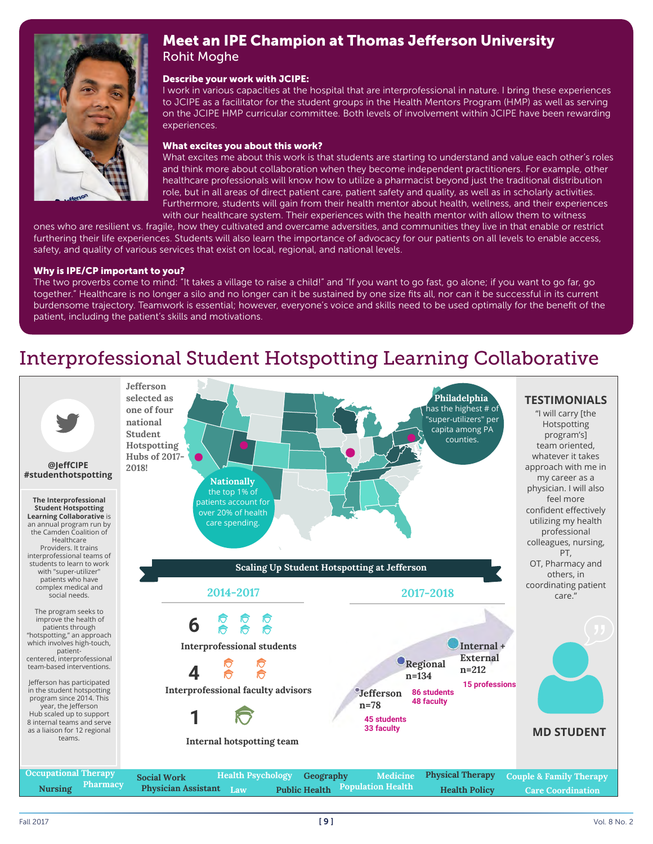

## Meet an IPE Champion at Thomas Jefferson University Rohit Moghe

### Describe your work with JCIPE:

I work in various capacities at the hospital that are interprofessional in nature. I bring these experiences to JCIPE as a facilitator for the student groups in the Health Mentors Program (HMP) as well as serving on the JCIPE HMP curricular committee. Both levels of involvement within JCIPE have been rewarding experiences.

### What excites you about this work?

What excites me about this work is that students are starting to understand and value each other's roles and think more about collaboration when they become independent practitioners. For example, other healthcare professionals will know how to utilize a pharmacist beyond just the traditional distribution role, but in all areas of direct patient care, patient safety and quality, as well as in scholarly activities. Furthermore, students will gain from their health mentor about health, wellness, and their experiences with our healthcare system. Their experiences with the health mentor with allow them to witness

ones who are resilient vs. fragile, how they cultivated and overcame adversities, and communities they live in that enable or restrict furthering their life experiences. Students will also learn the importance of advocacy for our patients on all levels to enable access, safety, and quality of various services that exist on local, regional, and national levels.

### Why is IPE/CP important to you?

The two proverbs come to mind: "It takes a village to raise a child!" and "If you want to go fast, go alone; if you want to go far, go together." Healthcare is no longer a silo and no longer can it be sustained by one size fits all, nor can it be successful in its current burdensome trajectory. Teamwork is essential; however, everyone's voice and skills need to be used optimally for the benefit of the patient, including the patient's skills and motivations.

# Interprofessional Student Hotspotting Learning Collaborative Interprofessional Student Hotspotting Learning Collaborative